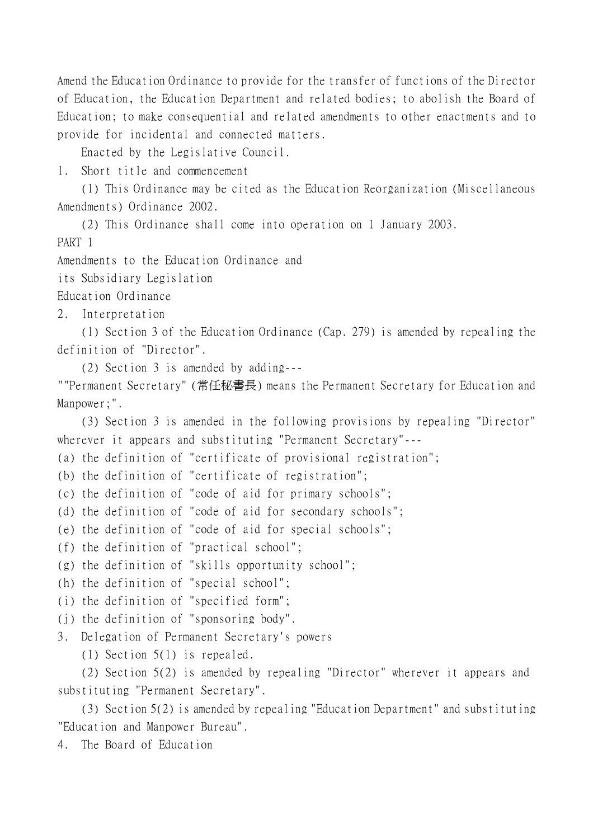Amend the Education Ordinance to provide for the transfer of functions of the Director of Education, the Education Department and related bodies; to abolish the Board of Education; to make consequential and related amendments to other enactments and to provide for incidental and connected matters.

Enacted by the Legislative Council.

1. Short title and commencement

(1) This Ordinance may be cited as the Education Reorganization (Miscellaneous Amendments) Ordinance 2002.

(2) This Ordinance shall come into operation on 1 January 2003.

PART 1

Amendments to the Education Ordinance and

its Subsidiary Legislation

Education Ordinance

2. Interpretation

(1) Section 3 of the Education Ordinance (Cap. 279) is amended by repealing the definition of "Director".

(2) Section 3 is amended by adding---

""Permanent Secretary" (常任秘書長) means the Permanent Secretary for Education and Manpower;".

(3) Section 3 is amended in the following provisions by repealing "Director" wherever it appears and substituting "Permanent Secretary"---

(a) the definition of "certificate of provisional registration";

(b) the definition of "certificate of registration";

(c) the definition of "code of aid for primary schools";

(d) the definition of "code of aid for secondary schools";

(e) the definition of "code of aid for special schools";

(f) the definition of "practical school";

(g) the definition of "skills opportunity school";

- (h) the definition of "special school";
- (i) the definition of "specified form";
- (j) the definition of "sponsoring body".

3. Delegation of Permanent Secretary's powers

(1) Section 5(1) is repealed.

(2) Section 5(2) is amended by repealing "Director" wherever it appears and substituting "Permanent Secretary".

(3) Section 5(2) is amended by repealing "Education Department" and substituting "Education and Manpower Bureau".

4. The Board of Education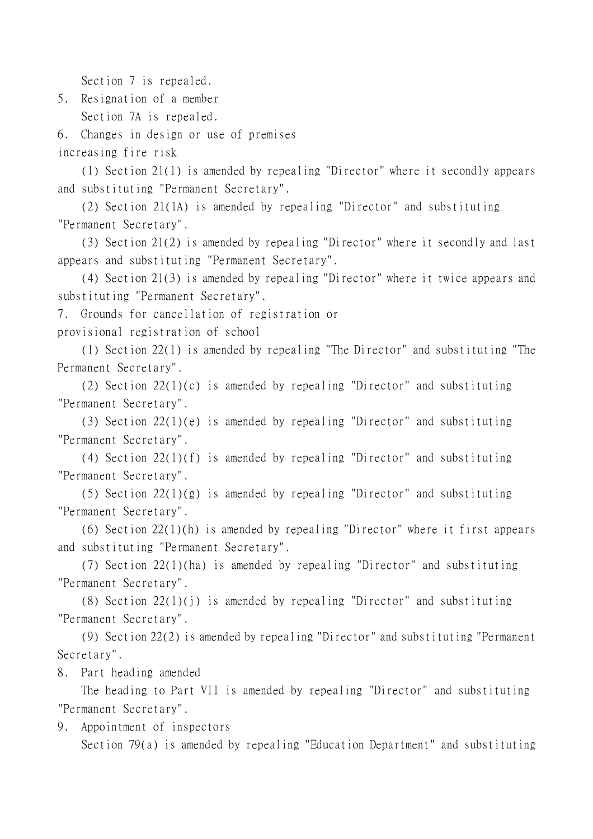Section 7 is repealed.

5. Resignation of a member Section 7A is repealed.

6. Changes in design or use of premises

increasing fire risk

(1) Section 21(1) is amended by repealing "Director" where it secondly appears and substituting "Permanent Secretary".

(2) Section 21(1A) is amended by repealing "Director" and substituting "Permanent Secretary".

(3) Section 21(2) is amended by repealing "Director" where it secondly and last appears and substituting "Permanent Secretary".

(4) Section 21(3) is amended by repealing "Director" where it twice appears and substituting "Permanent Secretary".

7. Grounds for cancellation of registration or

provisional registration of school

(1) Section 22(1) is amended by repealing "The Director" and substituting "The Permanent Secretary".

(2) Section 22(1)(c) is amended by repealing "Director" and substituting "Permanent Secretary".

(3) Section 22(1)(e) is amended by repealing "Director" and substituting "Permanent Secretary".

(4) Section 22(1)(f) is amended by repealing "Director" and substituting "Permanent Secretary".

(5) Section 22(1)(g) is amended by repealing "Director" and substituting "Permanent Secretary".

(6) Section 22(1)(h) is amended by repealing "Director" where it first appears and substituting "Permanent Secretary".

(7) Section 22(1)(ha) is amended by repealing "Director" and substituting "Permanent Secretary".

(8) Section 22(1)(j) is amended by repealing "Director" and substituting "Permanent Secretary".

(9) Section 22(2) is amended by repealing "Director" and substituting "Permanent Secretary".

8. Part heading amended

The heading to Part VII is amended by repealing "Director" and substituting "Permanent Secretary".

9. Appointment of inspectors

Section 79(a) is amended by repealing "Education Department" and substituting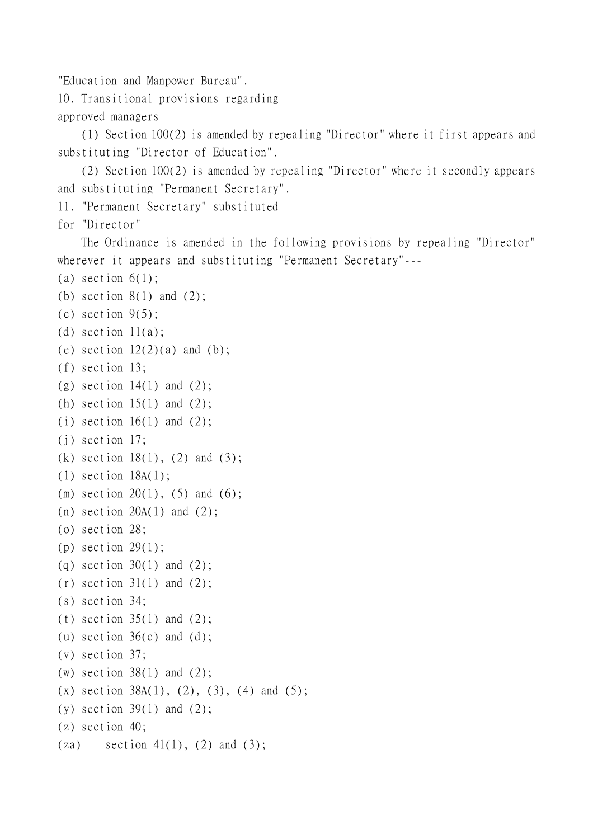"Education and Manpower Bureau".

10. Transitional provisions regarding approved managers

(1) Section 100(2) is amended by repealing "Director" where it first appears and substituting "Director of Education".

(2) Section 100(2) is amended by repealing "Director" where it secondly appears and substituting "Permanent Secretary".

```
11. "Permanent Secretary" substituted
```
for "Director"

The Ordinance is amended in the following provisions by repealing "Director" wherever it appears and substituting "Permanent Secretary"---

```
(a) section 6(1);
```

```
(b) section 8(1) and (2);
```

```
(c) section 9(5);
```

```
(d) section 11(a);
```

```
(e) section 12(2)(a) and (b);
```

```
(f) section 13;
```

```
(g) section 14(1) and (2);
```

```
(h) section 15(1) and (2);
```

```
(i) section 16(1) and (2);
```

```
(j) section 17;
```

```
(k) section 18(1), (2) and (3);
```

```
(l) section 18A(1);
```

```
(m) section 20(1), (5) and (6);
```

```
(n) section 20A(1) and (2);
```

```
(o) section 28;
```

```
(p) section 29(1);
```

```
(q) section 30(1) and (2);
```

```
(r) section 31(1) and (2);
```

```
(s) section 34;
```

```
(t) section 35(1) and (2);
```

```
(u) section 36(c) and (d);
```

```
(v) section 37;
```

```
(w) section 38(1) and (2);
```

```
(x) section 38A(1), (2), (3), (4) and (5);
```

```
(y) section 39(1) and (2);
```

```
(z) section 40;
```

```
(za) section 41(1), (2) and (3);
```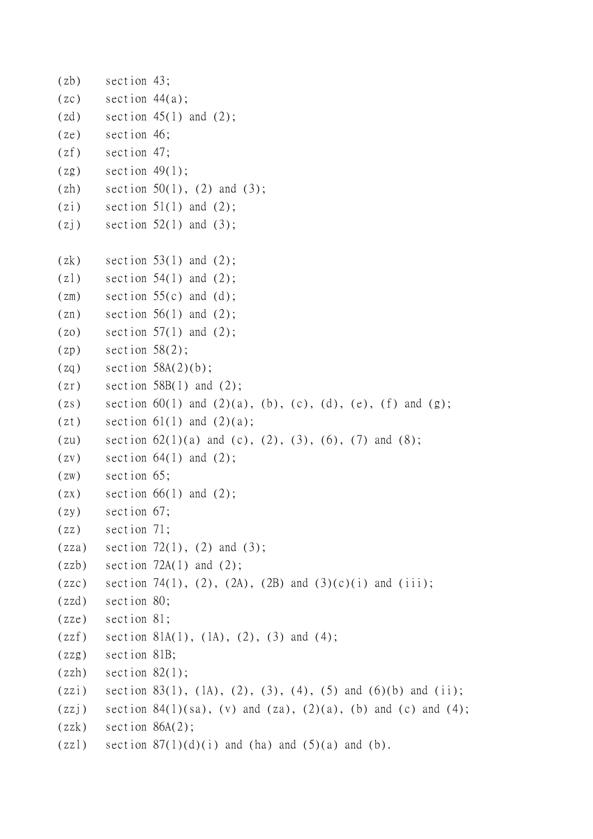```
(zb) section 43;
(zc) section 44(a);
(zd) section 45(1) and (2);
(ze) section 46;
(zf) section 47;
(2g) section 49(1);
(zh) section 50(1), (2) and (3);
(zi) section 51(1) and (2);
(zj) section 52(1) and (3);
(zk) section 53(1) and (2);
(z1) section 54(1) and (2);
(zm) section 55(c) and (d);
(\text{zn}) section 56(1) and (2);
(zo) section 57(1) and (2);
(zp) section 58(2);
(zq) section 58A(2)(b);
(zr) section 58B(1) and (2);
(zs) section 60(1) and (2)(a), (b), (c), (d), (e), (f) and (g);
(zt) section 61(1) and (2)(a);
(zu) section 62(1)(a) and (c), (2), (3), (6), (7) and (8);
(zv) section 64(1) and (2);
(zw) section 65;
(zx) section 66(1) and (2);
(zy) section 67;
(zz) section 71;
(zza) section 72(1), (2) and (3);
(zzb) section 72A(1) and (2);
(zzc) section 74(1), (2), (2A), (2B) and (3)(c)(i) and (iii);
(zzd) section 80;
(zze) section 81;
(zzf) section 81A(1), (1A), (2), (3) and (4);
(zzg) section 81B;
(zzh) section 82(1);
(zzi) section 83(1), (1A), (2), (3), (4), (5) and (6)(b) and (ii);
(zzj) section 84(1)(sa), (v) and (za), (2)(a), (b) and (c) and (4);
(zzk) section 86A(2);
(zzl) section 87(1)(d)(i) and (ha) and (5)(a) and (b).
```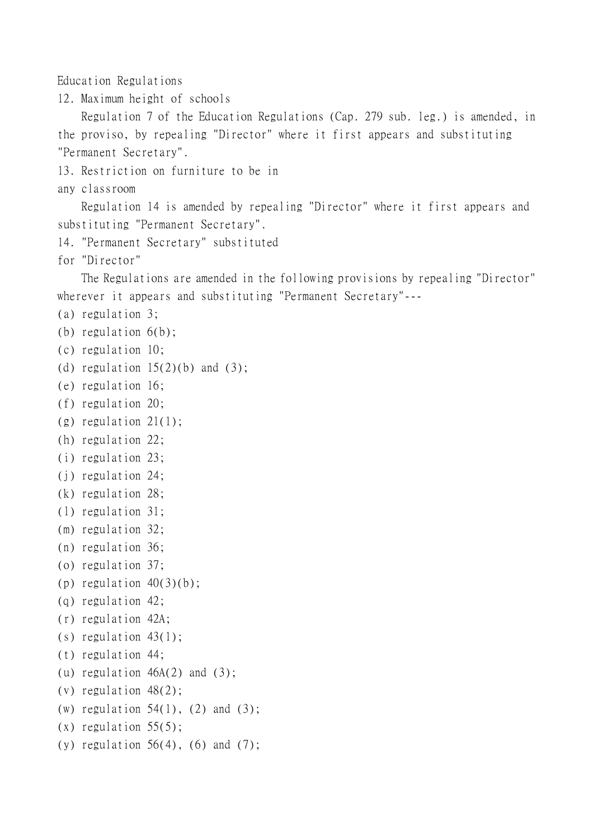Education Regulations

12. Maximum height of schools

Regulation 7 of the Education Regulations (Cap. 279 sub. leg.) is amended, in the proviso, by repealing "Director" where it first appears and substituting "Permanent Secretary".

13. Restriction on furniture to be in

any classroom

Regulation 14 is amended by repealing "Director" where it first appears and substituting "Permanent Secretary".

```
14. "Permanent Secretary" substituted
```

```
for "Director"
```
The Regulations are amended in the following provisions by repealing "Director" wherever it appears and substituting "Permanent Secretary"---

- (a) regulation 3;
- (b) regulation 6(b);
- (c) regulation 10;
- (d) regulation  $15(2)(b)$  and  $(3)$ ;
- (e) regulation 16;
- (f) regulation 20;
- (g) regulation 21(1);
- (h) regulation 22;
- (i) regulation 23;
- (j) regulation 24;
- (k) regulation 28;
- (l) regulation 31;
- (m) regulation 32;
- (n) regulation 36;
- (o) regulation 37;
- (p) regulation  $40(3)(b)$ ;
- (q) regulation 42;
- (r) regulation 42A;
- (s) regulation 43(1);
- (t) regulation 44;
- (u) regulation  $46A(2)$  and  $(3)$ ;
- (v) regulation 48(2);
- (w) regulation  $54(1)$ ,  $(2)$  and  $(3)$ ;
- $(x)$  regulation  $55(5)$ ;
- (y) regulation  $56(4)$ ,  $(6)$  and  $(7)$ ;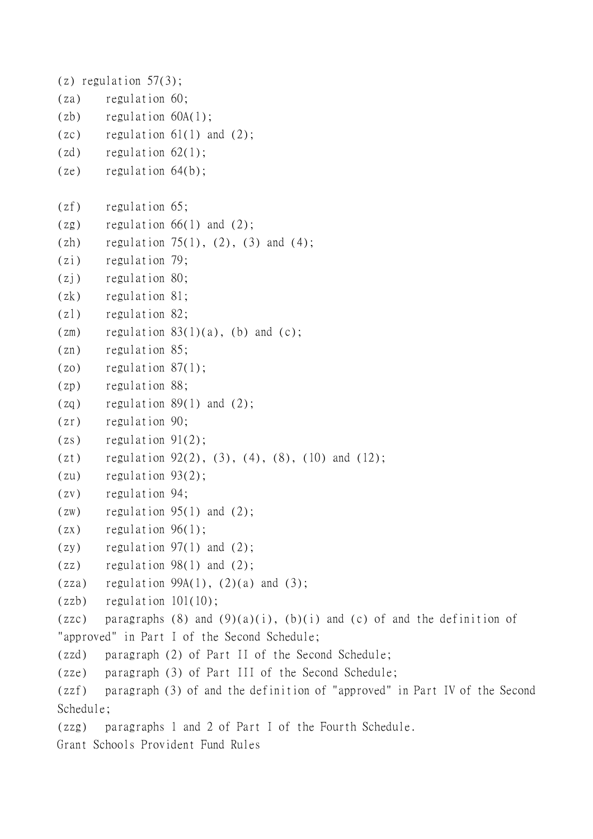```
(z) regulation 57(3);
(za) regulation 60;
(zb) regulation 60A(1);
(zc) regulation 61(1) and (2);
(zd) regulation 62(1);
(ze) regulation 64(b);
(zf) regulation 65;
(2g) regulation 66(1) and (2);
(zh) regulation 75(1), (2), (3) and (4);
(zi) regulation 79;
(zj) regulation 80;
(zk) regulation 81;
(zl) regulation 82;
zm) regulation 83(1)(a), (b) and (c);
(zn) regulation 85;
(zo) regulation 87(1);
(zp) regulation 88;
(zq) regulation 89(1) and (2);
(zr) regulation 90;
(zs) regulation 91(2);
(zt) regulation 92(2), (3), (4), (8), (10) and (12);
(zu) regulation 93(2);
(zv) regulation 94;
(zw) regulation 95(1) and (2);
(zx) regulation 96(1);
(zy) regulation 97(1) and (2);
(zz) regulation 98(1) and (2);
(zza) regulation 99A(1), (2)(a) and (3);
(zzb) regulation 101(10);
(zzc) paragraphs (8) and (9)(a)(i), (b)(i) and (c) of and the definition of
"approved" in Part I of the Second Schedule;
(zzd) paragraph (2) of Part II of the Second Schedule;
(zze) paragraph (3) of Part III of the Second Schedule;
(zzf) paragraph (3) of and the definition of "approved" in Part IV of the Second
Schedule;
(zzg) paragraphs 1 and 2 of Part I of the Fourth Schedule.
Grant Schools Provident Fund Rules
```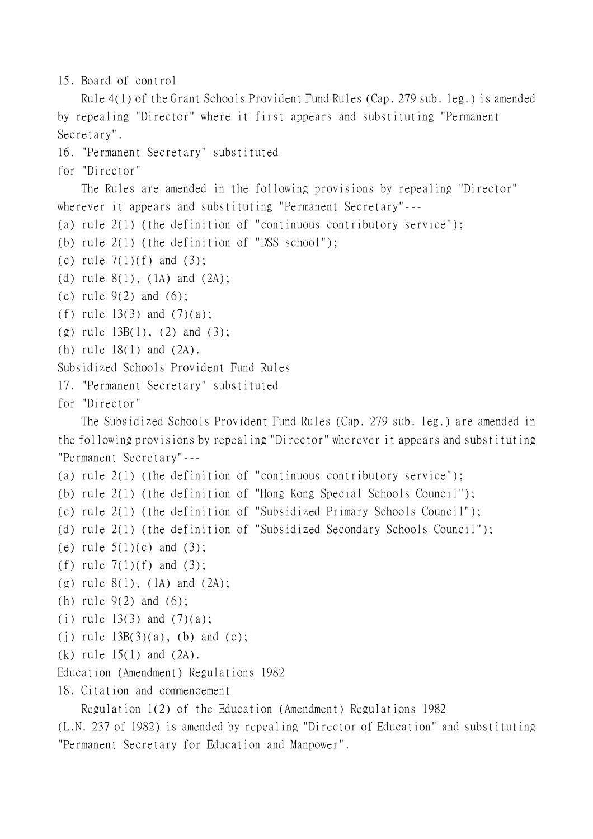```
15. Board of control
```
Rule 4(1) of the Grant Schools Provident Fund Rules (Cap. 279 sub. leg.) is amended by repealing "Director" where it first appears and substituting "Permanent Secretary".

```
16. "Permanent Secretary" substituted
```
for "Director"

The Rules are amended in the following provisions by repealing "Director" wherever it appears and substituting "Permanent Secretary"---

```
(a) rule 2(1) (the definition of "continuous contributory service");
```
(b) rule 2(1) (the definition of "DSS school");

(c) rule  $7(1)(f)$  and  $(3)$ ;

```
(d) rule 8(1), (1A) and (2A);
```
- (e) rule 9(2) and (6);
- (f) rule  $13(3)$  and  $(7)(a)$ ;

```
(g) rule 13B(1), (2) and (3);
```
(h) rule 18(1) and (2A).

Subsidized Schools Provident Fund Rules

```
17. "Permanent Secretary" substituted
```

```
for "Director"
```
The Subsidized Schools Provident Fund Rules (Cap. 279 sub. leg.) are amended in the following provisions by repealing "Director" wherever it appears and substituting "Permanent Secretary"---

```
(a) rule 2(1) (the definition of "continuous contributory service");
```
(b) rule 2(1) (the definition of "Hong Kong Special Schools Council");

(c) rule 2(1) (the definition of "Subsidized Primary Schools Council");

- (d) rule 2(1) (the definition of "Subsidized Secondary Schools Council");
- (e) rule  $5(1)(c)$  and  $(3)$ ;
- (f) rule  $7(1)(f)$  and  $(3)$ ;
- (g) rule  $8(1)$ , (1A) and (2A);

```
(h) rule 9(2) and (6);
```

```
(i) rule 13(3) and (7)(a);
```
(j) rule  $13B(3)(a)$ , (b) and (c);

```
(k) rule 15(1) and (2A).
```

```
Education (Amendment) Regulations 1982
```

```
18. Citation and commencement
```
Regulation 1(2) of the Education (Amendment) Regulations 1982

(L.N. 237 of 1982) is amended by repealing "Director of Education" and substituting "Permanent Secretary for Education and Manpower".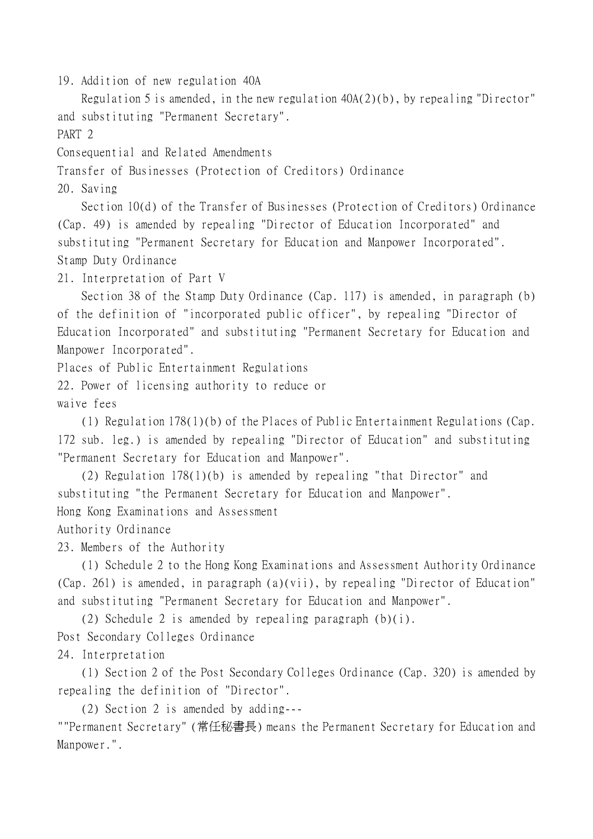19. Addition of new regulation 40A

Regulation 5 is amended, in the new regulation 40A(2)(b), by repealing "Director" and substituting "Permanent Secretary".

PART 2

Consequential and Related Amendments

Transfer of Businesses (Protection of Creditors) Ordinance

20. Saving

Section 10(d) of the Transfer of Businesses (Protection of Creditors) Ordinance (Cap. 49) is amended by repealing "Director of Education Incorporated" and substituting "Permanent Secretary for Education and Manpower Incorporated". Stamp Duty Ordinance

21. Interpretation of Part V

Section 38 of the Stamp Duty Ordinance (Cap. 117) is amended, in paragraph (b) of the definition of "incorporated public officer", by repealing "Director of Education Incorporated" and substituting "Permanent Secretary for Education and Manpower Incorporated".

Places of Public Entertainment Regulations

22. Power of licensing authority to reduce or waive fees

(1) Regulation 178(1)(b) of the Places of Public Entertainment Regulations (Cap. 172 sub. leg.) is amended by repealing "Director of Education" and substituting "Permanent Secretary for Education and Manpower".

(2) Regulation 178(1)(b) is amended by repealing "that Director" and substituting "the Permanent Secretary for Education and Manpower". Hong Kong Examinations and Assessment

Authority Ordinance

23. Members of the Authority

(1) Schedule 2 to the Hong Kong Examinations and Assessment Authority Ordinance (Cap. 261) is amended, in paragraph (a)(vii), by repealing "Director of Education" and substituting "Permanent Secretary for Education and Manpower".

(2) Schedule 2 is amended by repealing paragraph (b)(i).

Post Secondary Colleges Ordinance

24. Interpretation

(1) Section 2 of the Post Secondary Colleges Ordinance (Cap. 320) is amended by repealing the definition of "Director".

(2) Section 2 is amended by adding---

""Permanent Secretary" (常任秘書長) means the Permanent Secretary for Education and Manpower.".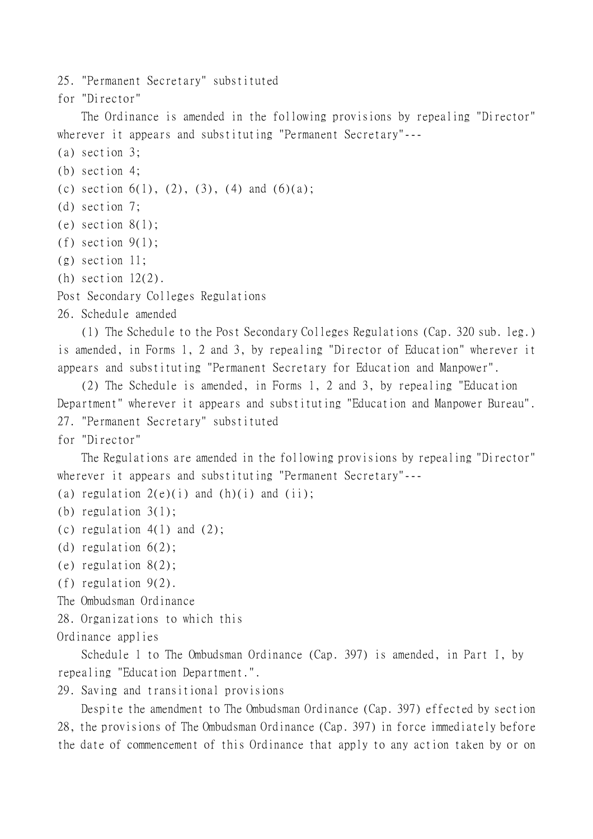25. "Permanent Secretary" substituted

for "Director"

The Ordinance is amended in the following provisions by repealing "Director" wherever it appears and substituting "Permanent Secretary"---

- (a) section 3;
- (b) section 4;
- (c) section  $6(1)$ ,  $(2)$ ,  $(3)$ ,  $(4)$  and  $(6)(a)$ ;
- (d) section 7;
- $(e)$  section  $8(1)$ ;
- (f) section  $9(1)$ ;
- (g) section 11;
- (h) section  $12(2)$ .
- Post Secondary Colleges Regulations
- 26. Schedule amended

(1) The Schedule to the Post Secondary Colleges Regulations (Cap. 320 sub. leg.) is amended, in Forms 1, 2 and 3, by repealing "Director of Education" wherever it appears and substituting "Permanent Secretary for Education and Manpower".

(2) The Schedule is amended, in Forms 1, 2 and 3, by repealing "Education Department" wherever it appears and substituting "Education and Manpower Bureau". 27. "Permanent Secretary" substituted

for "Director"

The Regulations are amended in the following provisions by repealing "Director" wherever it appears and substituting "Permanent Secretary"---

(a) regulation  $2(e)(i)$  and  $(h)(i)$  and  $(ii);$ 

- (b) regulation 3(1);
- (c) regulation  $4(1)$  and  $(2)$ ;
- (d) regulation 6(2);
- (e) regulation 8(2);
- (f) regulation 9(2).
- The Ombudsman Ordinance
- 28. Organizations to which this
- Ordinance applies

Schedule 1 to The Ombudsman Ordinance (Cap. 397) is amended, in Part I, by repealing "Education Department.".

29. Saving and transitional provisions

Despite the amendment to The Ombudsman Ordinance (Cap. 397) effected by section 28, the provisions of The Ombudsman Ordinance (Cap. 397) in force immediately before the date of commencement of this Ordinance that apply to any action taken by or on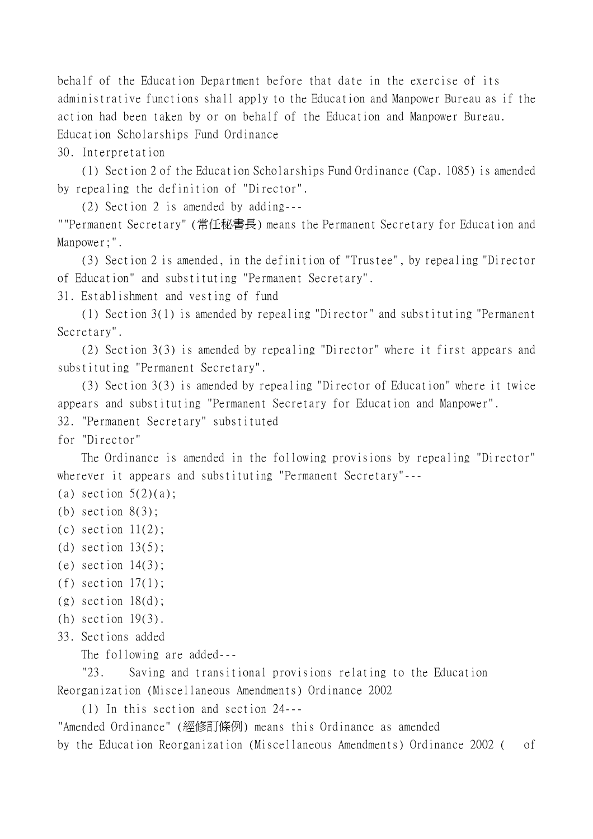behalf of the Education Department before that date in the exercise of its administrative functions shall apply to the Education and Manpower Bureau as if the action had been taken by or on behalf of the Education and Manpower Bureau. Education Scholarships Fund Ordinance

30. Interpretation

(1) Section 2 of the Education Scholarships Fund Ordinance (Cap. 1085) is amended by repealing the definition of "Director".

(2) Section 2 is amended by adding---

""Permanent Secretary" (常任秘書長) means the Permanent Secretary for Education and Manpower;".

(3) Section 2 is amended, in the definition of "Trustee", by repealing "Director of Education" and substituting "Permanent Secretary".

31. Establishment and vesting of fund

(1) Section 3(1) is amended by repealing "Director" and substituting "Permanent Secretary".

(2) Section 3(3) is amended by repealing "Director" where it first appears and substituting "Permanent Secretary".

(3) Section 3(3) is amended by repealing "Director of Education" where it twice appears and substituting "Permanent Secretary for Education and Manpower".

32. "Permanent Secretary" substituted

for "Director"

The Ordinance is amended in the following provisions by repealing "Director" wherever it appears and substituting "Permanent Secretary"---

(a) section  $5(2)(a)$ ;

- (c) section  $11(2)$ ;
- (d) section  $13(5)$ ;
- (e) section  $14(3)$ ;
- (f) section  $17(1)$ ;
- $(g)$  section  $18(d)$ ;
- (h) section 19(3).
- 33. Sections added

The following are added---

"23. Saving and transitional provisions relating to the Education Reorganization (Miscellaneous Amendments) Ordinance 2002

(1) In this section and section 24---

"Amended Ordinance" (經修訂條例) means this Ordinance as amended by the Education Reorganization (Miscellaneous Amendments) Ordinance 2002 ( of

<sup>(</sup>b) section  $8(3)$ ;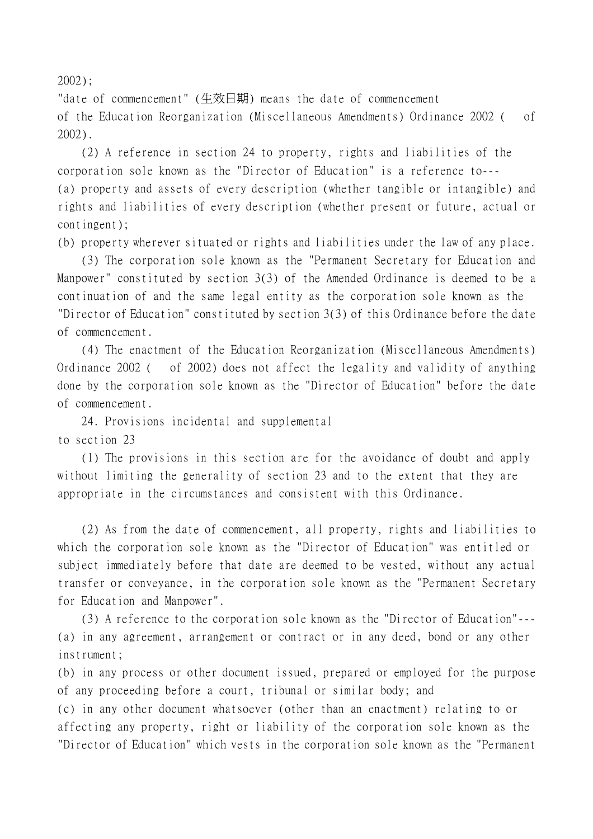2002);

"date of commencement" (生效日期) means the date of commencement of the Education Reorganization (Miscellaneous Amendments) Ordinance 2002 ( of 2002).

(2) A reference in section 24 to property, rights and liabilities of the corporation sole known as the "Director of Education" is a reference to--- (a) property and assets of every description (whether tangible or intangible) and rights and liabilities of every description (whether present or future, actual or contingent);

(b) property wherever situated or rights and liabilities under the law of any place.

(3) The corporation sole known as the "Permanent Secretary for Education and Manpower" constituted by section 3(3) of the Amended Ordinance is deemed to be a continuation of and the same legal entity as the corporation sole known as the "Director of Education" constituted by section 3(3) of this Ordinance before the date of commencement.

(4) The enactment of the Education Reorganization (Miscellaneous Amendments) Ordinance 2002 ( of 2002) does not affect the legality and validity of anything done by the corporation sole known as the "Director of Education" before the date of commencement.

24. Provisions incidental and supplemental to section 23

(1) The provisions in this section are for the avoidance of doubt and apply without limiting the generality of section 23 and to the extent that they are appropriate in the circumstances and consistent with this Ordinance.

(2) As from the date of commencement, all property, rights and liabilities to which the corporation sole known as the "Director of Education" was entitled or subject immediately before that date are deemed to be vested, without any actual transfer or conveyance, in the corporation sole known as the "Permanent Secretary for Education and Manpower".

(3) A reference to the corporation sole known as the "Director of Education"--- (a) in any agreement, arrangement or contract or in any deed, bond or any other instrument;

(b) in any process or other document issued, prepared or employed for the purpose of any proceeding before a court, tribunal or similar body; and

(c) in any other document whatsoever (other than an enactment) relating to or affecting any property, right or liability of the corporation sole known as the "Director of Education" which vests in the corporation sole known as the "Permanent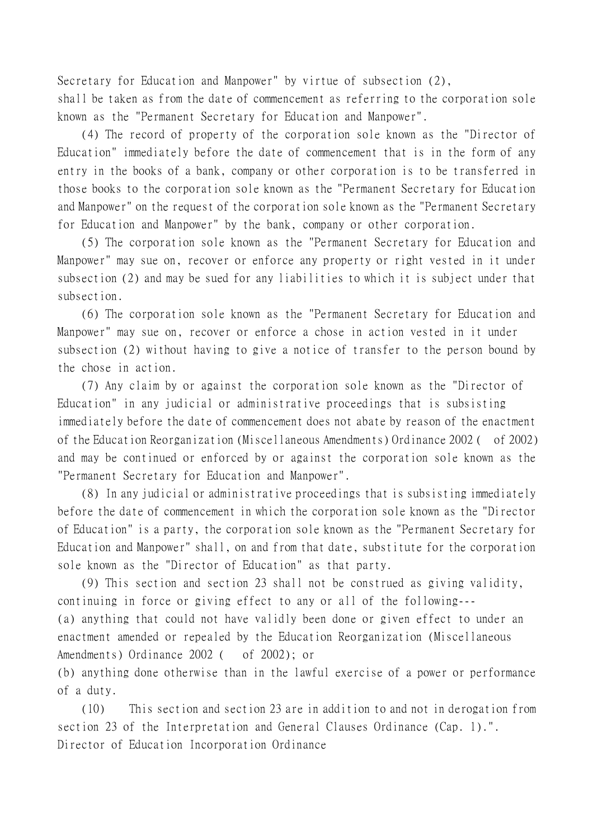Secretary for Education and Manpower" by virtue of subsection (2),

shall be taken as from the date of commencement as referring to the corporation sole known as the "Permanent Secretary for Education and Manpower".

(4) The record of property of the corporation sole known as the "Director of Education" immediately before the date of commencement that is in the form of any entry in the books of a bank, company or other corporation is to be transferred in those books to the corporation sole known as the "Permanent Secretary for Education and Manpower" on the request of the corporation sole known as the "Permanent Secretary for Education and Manpower" by the bank, company or other corporation.

(5) The corporation sole known as the "Permanent Secretary for Education and Manpower" may sue on, recover or enforce any property or right vested in it under subsection (2) and may be sued for any liabilities to which it is subject under that subsection.

(6) The corporation sole known as the "Permanent Secretary for Education and Manpower" may sue on, recover or enforce a chose in action vested in it under subsection (2) without having to give a notice of transfer to the person bound by the chose in action.

(7) Any claim by or against the corporation sole known as the "Director of Education" in any judicial or administrative proceedings that is subsisting immediately before the date of commencement does not abate by reason of the enactment of the Education Reorganization (Miscellaneous Amendments) Ordinance 2002 ( of 2002) and may be continued or enforced by or against the corporation sole known as the "Permanent Secretary for Education and Manpower".

(8) In any judicial or administrative proceedings that is subsisting immediately before the date of commencement in which the corporation sole known as the "Director of Education" is a party, the corporation sole known as the "Permanent Secretary for Education and Manpower" shall, on and from that date, substitute for the corporation sole known as the "Director of Education" as that party.

(9) This section and section 23 shall not be construed as giving validity, continuing in force or giving effect to any or all of the following--- (a) anything that could not have validly been done or given effect to under an enactment amended or repealed by the Education Reorganization (Miscellaneous Amendments) Ordinance 2002 ( of 2002); or

(b) anything done otherwise than in the lawful exercise of a power or performance of a duty.

(10) This section and section 23 are in addition to and not in derogation from section 23 of the Interpretation and General Clauses Ordinance (Cap. 1).". Director of Education Incorporation Ordinance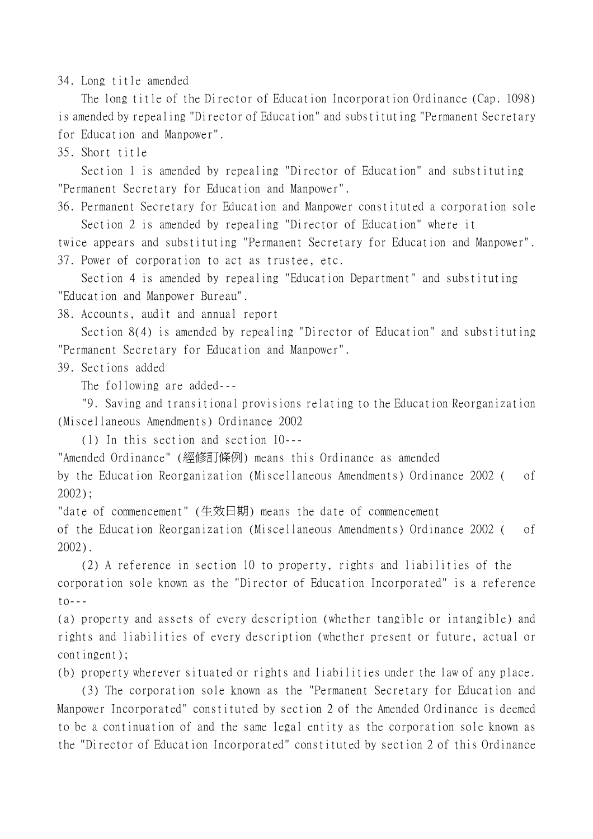34. Long title amended

The long title of the Director of Education Incorporation Ordinance (Cap. 1098) is amended by repealing "Director of Education" and substituting "Permanent Secretary for Education and Manpower".

35. Short title

Section 1 is amended by repealing "Director of Education" and substituting "Permanent Secretary for Education and Manpower".

36. Permanent Secretary for Education and Manpower constituted a corporation sole Section 2 is amended by repealing "Director of Education" where it

twice appears and substituting "Permanent Secretary for Education and Manpower". 37. Power of corporation to act as trustee, etc.

Section 4 is amended by repealing "Education Department" and substituting "Education and Manpower Bureau".

38. Accounts, audit and annual report

Section 8(4) is amended by repealing "Director of Education" and substituting "Permanent Secretary for Education and Manpower".

39. Sections added

The following are added---

"9. Saving and transitional provisions relating to the Education Reorganization (Miscellaneous Amendments) Ordinance 2002

(1) In this section and section 10---

"Amended Ordinance" (經修訂條例) means this Ordinance as amended

by the Education Reorganization (Miscellaneous Amendments) Ordinance 2002 ( of 2002);

"date of commencement" (生效日期) means the date of commencement

of the Education Reorganization (Miscellaneous Amendments) Ordinance 2002 ( of 2002).

(2) A reference in section 10 to property, rights and liabilities of the corporation sole known as the "Director of Education Incorporated" is a reference  $\text{to--}$ 

(a) property and assets of every description (whether tangible or intangible) and rights and liabilities of every description (whether present or future, actual or contingent);

(b) property wherever situated or rights and liabilities under the law of any place.

(3) The corporation sole known as the "Permanent Secretary for Education and Manpower Incorporated" constituted by section 2 of the Amended Ordinance is deemed to be a continuation of and the same legal entity as the corporation sole known as the "Director of Education Incorporated" constituted by section 2 of this Ordinance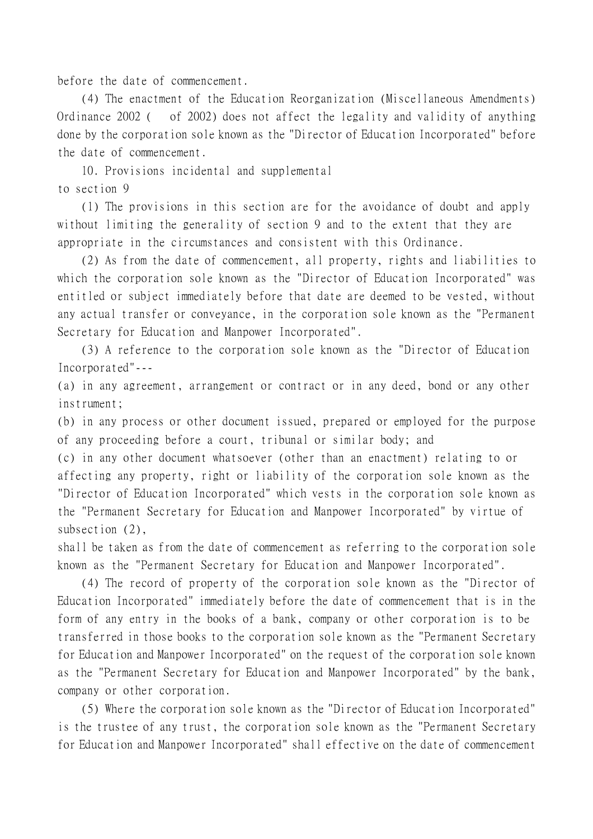before the date of commencement.

(4) The enactment of the Education Reorganization (Miscellaneous Amendments) Ordinance 2002 ( of 2002) does not affect the legality and validity of anything done by the corporation sole known as the "Director of Education Incorporated" before the date of commencement.

10. Provisions incidental and supplemental to section 9

(1) The provisions in this section are for the avoidance of doubt and apply without limiting the generality of section 9 and to the extent that they are appropriate in the circumstances and consistent with this Ordinance.

(2) As from the date of commencement, all property, rights and liabilities to which the corporation sole known as the "Director of Education Incorporated" was entitled or subject immediately before that date are deemed to be vested, without any actual transfer or conveyance, in the corporation sole known as the "Permanent Secretary for Education and Manpower Incorporated".

(3) A reference to the corporation sole known as the "Director of Education Incorporated"---

(a) in any agreement, arrangement or contract or in any deed, bond or any other instrument;

(b) in any process or other document issued, prepared or employed for the purpose of any proceeding before a court, tribunal or similar body; and

(c) in any other document whatsoever (other than an enactment) relating to or affecting any property, right or liability of the corporation sole known as the "Director of Education Incorporated" which vests in the corporation sole known as the "Permanent Secretary for Education and Manpower Incorporated" by virtue of subsection (2).

shall be taken as from the date of commencement as referring to the corporation sole known as the "Permanent Secretary for Education and Manpower Incorporated".

(4) The record of property of the corporation sole known as the "Director of Education Incorporated" immediately before the date of commencement that is in the form of any entry in the books of a bank, company or other corporation is to be transferred in those books to the corporation sole known as the "Permanent Secretary for Education and Manpower Incorporated" on the request of the corporation sole known as the "Permanent Secretary for Education and Manpower Incorporated" by the bank, company or other corporation.

(5) Where the corporation sole known as the "Director of Education Incorporated" is the trustee of any trust, the corporation sole known as the "Permanent Secretary for Education and Manpower Incorporated" shall effective on the date of commencement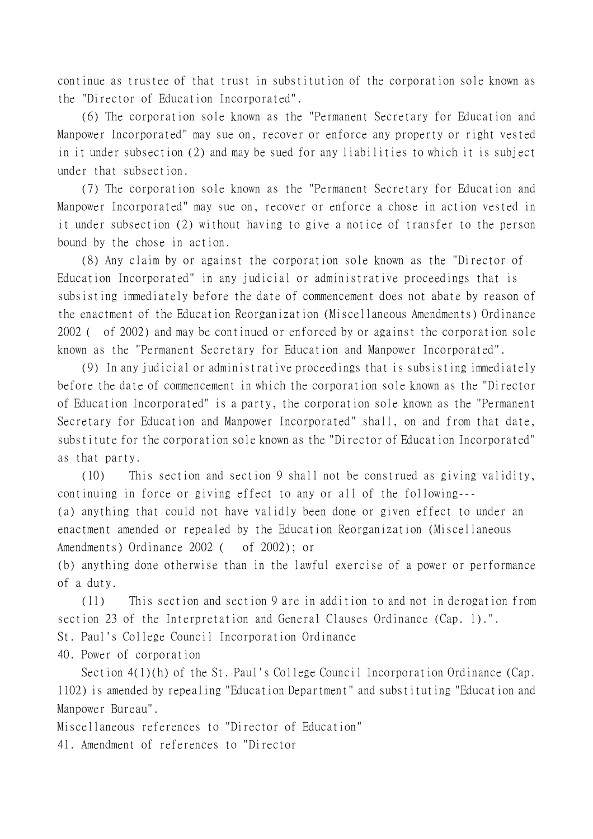continue as trustee of that trust in substitution of the corporation sole known as the "Director of Education Incorporated".

(6) The corporation sole known as the "Permanent Secretary for Education and Manpower Incorporated" may sue on, recover or enforce any property or right vested in it under subsection (2) and may be sued for any liabilities to which it is subject under that subsection.

(7) The corporation sole known as the "Permanent Secretary for Education and Manpower Incorporated" may sue on, recover or enforce a chose in action vested in it under subsection (2) without having to give a notice of transfer to the person bound by the chose in action.

(8) Any claim by or against the corporation sole known as the "Director of Education Incorporated" in any judicial or administrative proceedings that is subsisting immediately before the date of commencement does not abate by reason of the enactment of the Education Reorganization (Miscellaneous Amendments) Ordinance 2002 ( of 2002) and may be continued or enforced by or against the corporation sole known as the "Permanent Secretary for Education and Manpower Incorporated".

(9) In any judicial or administrative proceedings that is subsisting immediately before the date of commencement in which the corporation sole known as the "Director of Education Incorporated" is a party, the corporation sole known as the "Permanent Secretary for Education and Manpower Incorporated" shall, on and from that date, substitute for the corporation sole known as the "Director of Education Incorporated" as that party.

(10) This section and section 9 shall not be construed as giving validity, continuing in force or giving effect to any or all of the following--- (a) anything that could not have validly been done or given effect to under an enactment amended or repealed by the Education Reorganization (Miscellaneous Amendments) Ordinance 2002 ( of 2002); or

(b) anything done otherwise than in the lawful exercise of a power or performance of a duty.

(11) This section and section 9 are in addition to and not in derogation from section 23 of the Interpretation and General Clauses Ordinance (Cap. 1).".

St. Paul's College Council Incorporation Ordinance

40. Power of corporation

Section 4(1)(h) of the St. Paul's College Council Incorporation Ordinance (Cap. 1102) is amended by repealing "Education Department" and substituting "Education and Manpower Bureau".

Miscellaneous references to "Director of Education"

41. Amendment of references to "Director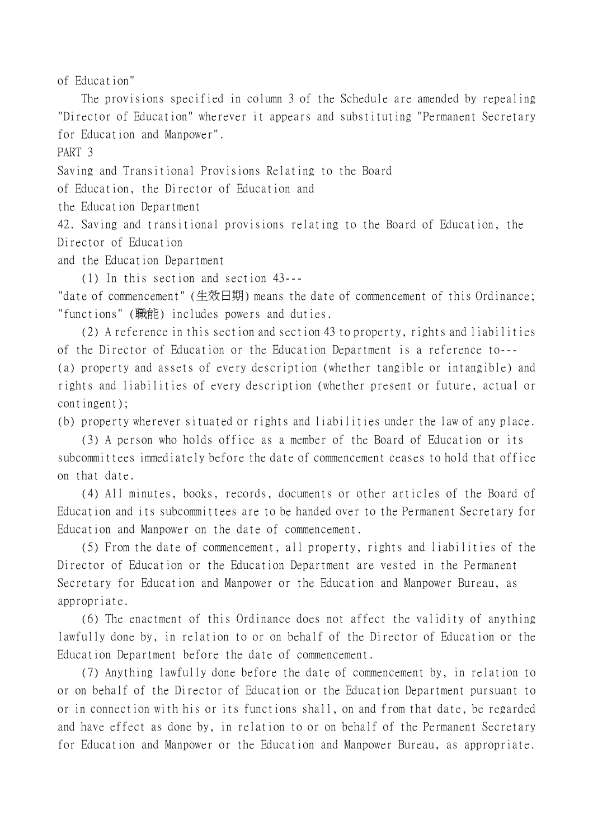of Education"

The provisions specified in column 3 of the Schedule are amended by repealing "Director of Education" wherever it appears and substituting "Permanent Secretary for Education and Manpower".

PART 3

Saving and Transitional Provisions Relating to the Board

of Education, the Director of Education and

the Education Department

42. Saving and transitional provisions relating to the Board of Education, the Director of Education

and the Education Department

(1) In this section and section 43---

"date of commencement" (生效日期) means the date of commencement of this Ordinance; "functions" (職能) includes powers and duties.

(2) A reference in this section and section 43 to property, rights and liabilities of the Director of Education or the Education Department is a reference to--- (a) property and assets of every description (whether tangible or intangible) and rights and liabilities of every description (whether present or future, actual or contingent);

(b) property wherever situated or rights and liabilities under the law of any place.

(3) A person who holds office as a member of the Board of Education or its subcommittees immediately before the date of commencement ceases to hold that office on that date.

(4) All minutes, books, records, documents or other articles of the Board of Education and its subcommittees are to be handed over to the Permanent Secretary for Education and Manpower on the date of commencement.

(5) From the date of commencement, all property, rights and liabilities of the Director of Education or the Education Department are vested in the Permanent Secretary for Education and Manpower or the Education and Manpower Bureau, as appropriate.

(6) The enactment of this Ordinance does not affect the validity of anything lawfully done by, in relation to or on behalf of the Director of Education or the Education Department before the date of commencement.

(7) Anything lawfully done before the date of commencement by, in relation to or on behalf of the Director of Education or the Education Department pursuant to or in connection with his or its functions shall, on and from that date, be regarded and have effect as done by, in relation to or on behalf of the Permanent Secretary for Education and Manpower or the Education and Manpower Bureau, as appropriate.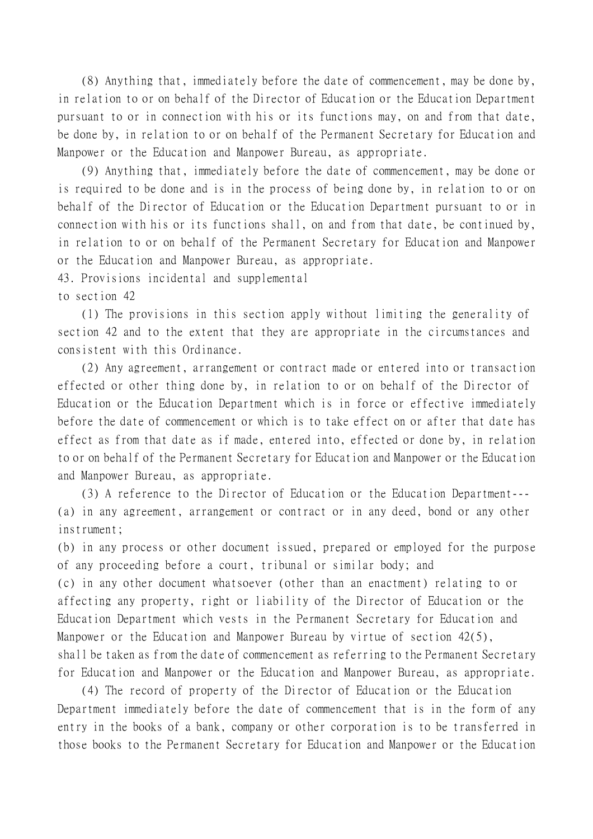(8) Anything that, immediately before the date of commencement, may be done by, in relation to or on behalf of the Director of Education or the Education Department pursuant to or in connection with his or its functions may, on and from that date, be done by, in relation to or on behalf of the Permanent Secretary for Education and Manpower or the Education and Manpower Bureau, as appropriate.

(9) Anything that, immediately before the date of commencement, may be done or is required to be done and is in the process of being done by, in relation to or on behalf of the Director of Education or the Education Department pursuant to or in connection with his or its functions shall, on and from that date, be continued by, in relation to or on behalf of the Permanent Secretary for Education and Manpower or the Education and Manpower Bureau, as appropriate.

43. Provisions incidental and supplemental

to section 42

(1) The provisions in this section apply without limiting the generality of section 42 and to the extent that they are appropriate in the circumstances and consistent with this Ordinance.

(2) Any agreement, arrangement or contract made or entered into or transaction effected or other thing done by, in relation to or on behalf of the Director of Education or the Education Department which is in force or effective immediately before the date of commencement or which is to take effect on or after that date has effect as from that date as if made, entered into, effected or done by, in relation to or on behalf of the Permanent Secretary for Education and Manpower or the Education and Manpower Bureau, as appropriate.

(3) A reference to the Director of Education or the Education Department--- (a) in any agreement, arrangement or contract or in any deed, bond or any other instrument;

(b) in any process or other document issued, prepared or employed for the purpose of any proceeding before a court, tribunal or similar body; and (c) in any other document whatsoever (other than an enactment) relating to or affecting any property, right or liability of the Director of Education or the Education Department which vests in the Permanent Secretary for Education and Manpower or the Education and Manpower Bureau by virtue of section 42(5), shall be taken as from the date of commencement as referring to the Permanent Secretary for Education and Manpower or the Education and Manpower Bureau, as appropriate.

(4) The record of property of the Director of Education or the Education Department immediately before the date of commencement that is in the form of any entry in the books of a bank, company or other corporation is to be transferred in those books to the Permanent Secretary for Education and Manpower or the Education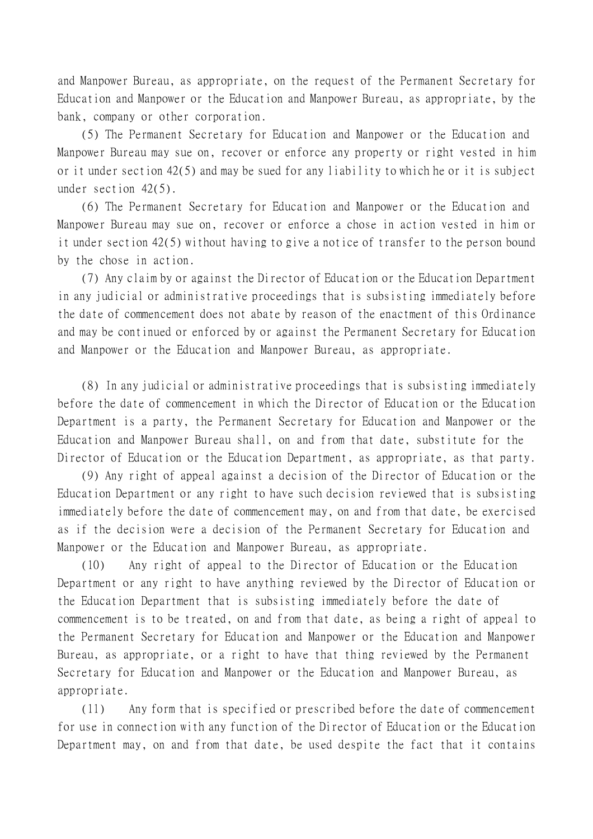and Manpower Bureau, as appropriate, on the request of the Permanent Secretary for Education and Manpower or the Education and Manpower Bureau, as appropriate, by the bank, company or other corporation.

(5) The Permanent Secretary for Education and Manpower or the Education and Manpower Bureau may sue on, recover or enforce any property or right vested in him or it under section 42(5) and may be sued for any liability to which he or it is subject under section 42(5).

(6) The Permanent Secretary for Education and Manpower or the Education and Manpower Bureau may sue on, recover or enforce a chose in action vested in him or it under section 42(5) without having to give a notice of transfer to the person bound by the chose in action.

(7) Any claim by or against the Director of Education or the Education Department in any judicial or administrative proceedings that is subsisting immediately before the date of commencement does not abate by reason of the enactment of this Ordinance and may be continued or enforced by or against the Permanent Secretary for Education and Manpower or the Education and Manpower Bureau, as appropriate.

(8) In any judicial or administrative proceedings that is subsisting immediately before the date of commencement in which the Director of Education or the Education Department is a party, the Permanent Secretary for Education and Manpower or the Education and Manpower Bureau shall, on and from that date, substitute for the Director of Education or the Education Department, as appropriate, as that party.

(9) Any right of appeal against a decision of the Director of Education or the Education Department or any right to have such decision reviewed that is subsisting immediately before the date of commencement may, on and from that date, be exercised as if the decision were a decision of the Permanent Secretary for Education and Manpower or the Education and Manpower Bureau, as appropriate.

(10) Any right of appeal to the Director of Education or the Education Department or any right to have anything reviewed by the Director of Education or the Education Department that is subsisting immediately before the date of commencement is to be treated, on and from that date, as being a right of appeal to the Permanent Secretary for Education and Manpower or the Education and Manpower Bureau, as appropriate, or a right to have that thing reviewed by the Permanent Secretary for Education and Manpower or the Education and Manpower Bureau, as appropriate.

(11) Any form that is specified or prescribed before the date of commencement for use in connection with any function of the Director of Education or the Education Department may, on and from that date, be used despite the fact that it contains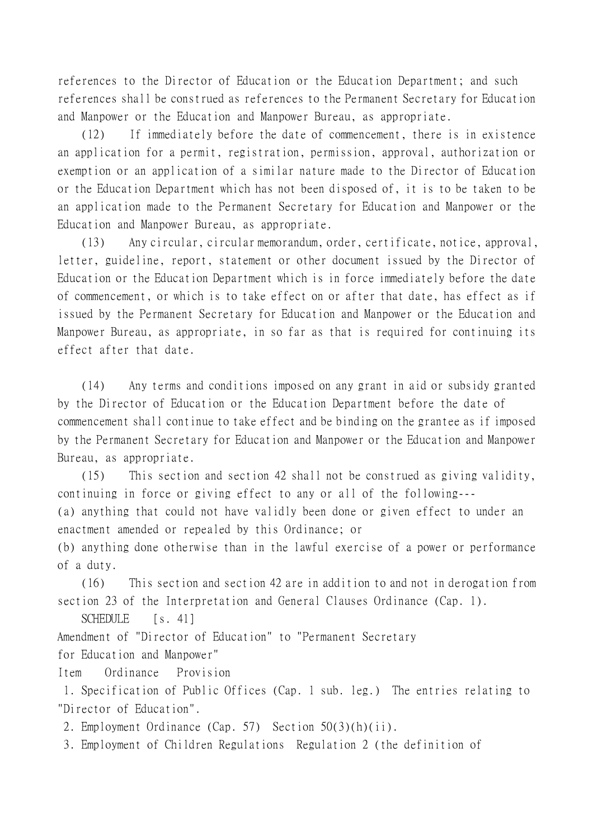references to the Director of Education or the Education Department; and such references shall be construed as references to the Permanent Secretary for Education and Manpower or the Education and Manpower Bureau, as appropriate.

(12) If immediately before the date of commencement, there is in existence an application for a permit, registration, permission, approval, authorization or exemption or an application of a similar nature made to the Director of Education or the Education Department which has not been disposed of, it is to be taken to be an application made to the Permanent Secretary for Education and Manpower or the Education and Manpower Bureau, as appropriate.

(13) Any circular, circular memorandum, order, certificate, notice, approval, letter, guideline, report, statement or other document issued by the Director of Education or the Education Department which is in force immediately before the date of commencement, or which is to take effect on or after that date, has effect as if issued by the Permanent Secretary for Education and Manpower or the Education and Manpower Bureau, as appropriate, in so far as that is required for continuing its effect after that date.

(14) Any terms and conditions imposed on any grant in aid or subsidy granted by the Director of Education or the Education Department before the date of commencement shall continue to take effect and be binding on the grantee as if imposed by the Permanent Secretary for Education and Manpower or the Education and Manpower Bureau, as appropriate.

(15) This section and section 42 shall not be construed as giving validity, continuing in force or giving effect to any or all of the following---

(a) anything that could not have validly been done or given effect to under an enactment amended or repealed by this Ordinance; or

(b) anything done otherwise than in the lawful exercise of a power or performance of a duty.

(16) This section and section 42 are in addition to and not in derogation from section 23 of the Interpretation and General Clauses Ordinance (Cap. 1).

SCHEDULE [s. 41]

Amendment of "Director of Education" to "Permanent Secretary

for Education and Manpower"

Item Ordinance Provision

 1. Specification of Public Offices (Cap. 1 sub. leg.) The entries relating to "Director of Education".

2. Employment Ordinance (Cap. 57) Section 50(3)(h)(ii).

3. Employment of Children Regulations Regulation 2 (the definition of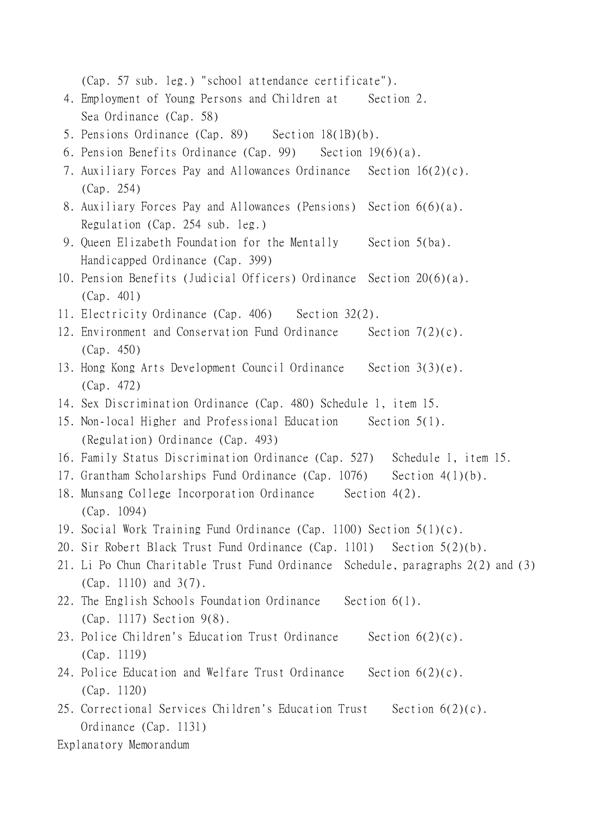(Cap. 57 sub. leg.) "school attendance certificate").

- 4. Employment of Young Persons and Children at Section 2. Sea Ordinance (Cap. 58)
- 5. Pensions Ordinance (Cap. 89) Section 18(1B)(b).
- 6. Pension Benefits Ordinance (Cap. 99) Section 19(6)(a).
- 7. Auxiliary Forces Pay and Allowances Ordinance Section 16(2)(c). (Cap. 254)
- 8. Auxiliary Forces Pay and Allowances (Pensions) Section 6(6)(a). Regulation (Cap. 254 sub. leg.)
- 9. Queen Elizabeth Foundation for the Mentally Section 5(ba). Handicapped Ordinance (Cap. 399)
- 10. Pension Benefits (Judicial Officers) Ordinance Section 20(6)(a). (Cap. 401)
- 11. Electricity Ordinance (Cap. 406) Section 32(2).
- 12. Environment and Conservation Fund Ordinance Section 7(2)(c). (Cap. 450)
- 13. Hong Kong Arts Development Council Ordinance Section 3(3)(e). (Cap. 472)
- 14. Sex Discrimination Ordinance (Cap. 480) Schedule 1, item 15.
- 15. Non-local Higher and Professional Education Section 5(1). (Regulation) Ordinance (Cap. 493)
- 16. Family Status Discrimination Ordinance (Cap. 527) Schedule 1, item 15.
- 17. Grantham Scholarships Fund Ordinance (Cap. 1076) Section 4(1)(b).
- 18. Munsang College Incorporation Ordinance Section 4(2). (Cap. 1094)
- 19. Social Work Training Fund Ordinance (Cap. 1100) Section 5(1)(c).
- 20. Sir Robert Black Trust Fund Ordinance (Cap. 1101) Section 5(2)(b).
- 21. Li Po Chun Charitable Trust Fund Ordinance Schedule, paragraphs 2(2) and (3) (Cap. 1110) and 3(7).
- 22. The English Schools Foundation Ordinance Section 6(1). (Cap. 1117) Section 9(8).
- 23. Police Children's Education Trust Ordinance Section 6(2)(c). (Cap. 1119)
- 24. Police Education and Welfare Trust Ordinance Section 6(2)(c). (Cap. 1120)
- 25. Correctional Services Children's Education Trust Section 6(2)(c). Ordinance (Cap. 1131)

Explanatory Memorandum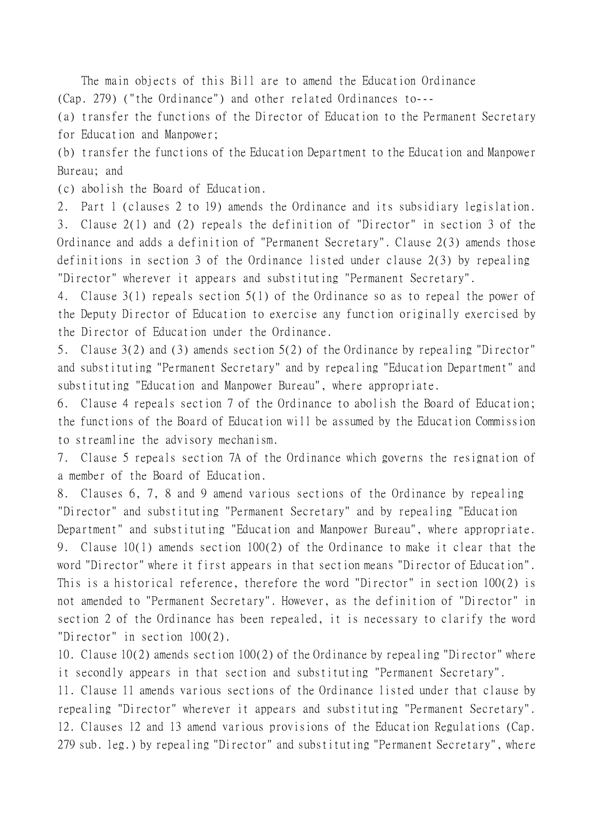The main objects of this Bill are to amend the Education Ordinance (Cap. 279) ("the Ordinance") and other related Ordinances to---

(a) transfer the functions of the Director of Education to the Permanent Secretary for Education and Manpower;

(b) transfer the functions of the Education Department to the Education and Manpower Bureau; and

(c) abolish the Board of Education.

2. Part 1 (clauses 2 to 19) amends the Ordinance and its subsidiary legislation. 3. Clause 2(1) and (2) repeals the definition of "Director" in section 3 of the Ordinance and adds a definition of "Permanent Secretary". Clause 2(3) amends those definitions in section 3 of the Ordinance listed under clause 2(3) by repealing "Director" wherever it appears and substituting "Permanent Secretary".

4. Clause 3(1) repeals section 5(1) of the Ordinance so as to repeal the power of the Deputy Director of Education to exercise any function originally exercised by the Director of Education under the Ordinance.

5. Clause 3(2) and (3) amends section 5(2) of the Ordinance by repealing "Director" and substituting "Permanent Secretary" and by repealing "Education Department" and substituting "Education and Manpower Bureau", where appropriate.

6. Clause 4 repeals section 7 of the Ordinance to abolish the Board of Education; the functions of the Board of Education will be assumed by the Education Commission to streamline the advisory mechanism.

7. Clause 5 repeals section 7A of the Ordinance which governs the resignation of a member of the Board of Education.

8. Clauses 6, 7, 8 and 9 amend various sections of the Ordinance by repealing "Director" and substituting "Permanent Secretary" and by repealing "Education Department" and substituting "Education and Manpower Bureau", where appropriate. 9. Clause 10(1) amends section 100(2) of the Ordinance to make it clear that the word "Director" where it first appears in that section means "Director of Education". This is a historical reference, therefore the word "Director" in section 100(2) is not amended to "Permanent Secretary". However, as the definition of "Director" in section 2 of the Ordinance has been repealed, it is necessary to clarify the word "Director" in section 100(2).

10. Clause 10(2) amends section 100(2) of the Ordinance by repealing "Director" where it secondly appears in that section and substituting "Permanent Secretary".

11. Clause 11 amends various sections of the Ordinance listed under that clause by repealing "Director" wherever it appears and substituting "Permanent Secretary". 12. Clauses 12 and 13 amend various provisions of the Education Regulations (Cap. 279 sub. leg.) by repealing "Director" and substituting "Permanent Secretary", where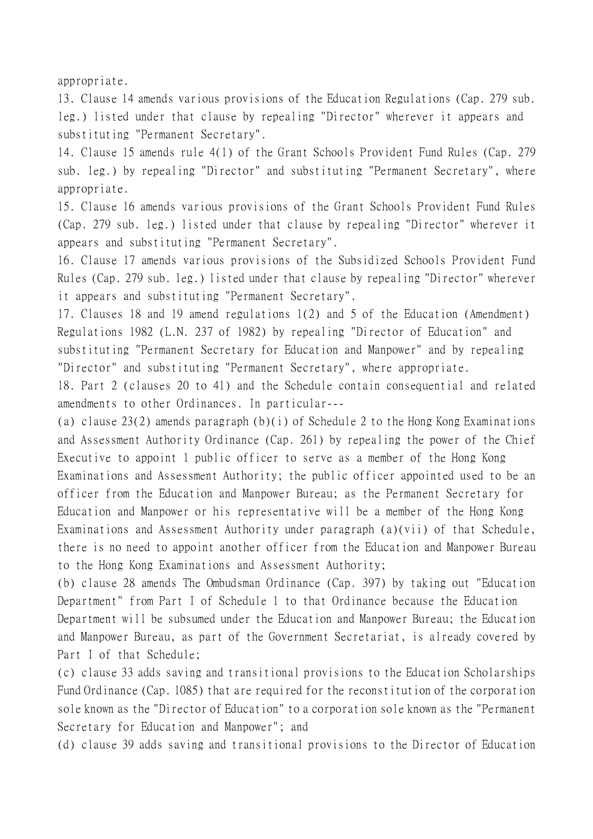appropriate.

13. Clause 14 amends various provisions of the Education Regulations (Cap. 279 sub. leg.) listed under that clause by repealing "Director" wherever it appears and substituting "Permanent Secretary".

14. Clause 15 amends rule 4(1) of the Grant Schools Provident Fund Rules (Cap. 279 sub. leg.) by repealing "Director" and substituting "Permanent Secretary", where appropriate.

15. Clause 16 amends various provisions of the Grant Schools Provident Fund Rules (Cap. 279 sub. leg.) listed under that clause by repealing "Director" wherever it appears and substituting "Permanent Secretary".

16. Clause 17 amends various provisions of the Subsidized Schools Provident Fund Rules (Cap. 279 sub. leg.) listed under that clause by repealing "Director" wherever it appears and substituting "Permanent Secretary".

17. Clauses 18 and 19 amend regulations 1(2) and 5 of the Education (Amendment) Regulations 1982 (L.N. 237 of 1982) by repealing "Director of Education" and substituting "Permanent Secretary for Education and Manpower" and by repealing "Director" and substituting "Permanent Secretary", where appropriate.

18. Part 2 (clauses 20 to 41) and the Schedule contain consequential and related amendments to other Ordinances. In particular---

(a) clause 23(2) amends paragraph (b)(i) of Schedule 2 to the Hong Kong Examinations and Assessment Authority Ordinance (Cap. 261) by repealing the power of the Chief Executive to appoint 1 public officer to serve as a member of the Hong Kong Examinations and Assessment Authority; the public officer appointed used to be an officer from the Education and Manpower Bureau; as the Permanent Secretary for Education and Manpower or his representative will be a member of the Hong Kong Examinations and Assessment Authority under paragraph (a)(vii) of that Schedule, there is no need to appoint another officer from the Education and Manpower Bureau to the Hong Kong Examinations and Assessment Authority;

(b) clause 28 amends The Ombudsman Ordinance (Cap. 397) by taking out "Education Department" from Part I of Schedule 1 to that Ordinance because the Education Department will be subsumed under the Education and Manpower Bureau; the Education and Manpower Bureau, as part of the Government Secretariat, is already covered by Part I of that Schedule;

(c) clause 33 adds saving and transitional provisions to the Education Scholarships Fund Ordinance (Cap. 1085) that are required for the reconstitution of the corporation sole known as the "Director of Education" to a corporation sole known as the "Permanent Secretary for Education and Manpower"; and

(d) clause 39 adds saving and transitional provisions to the Director of Education